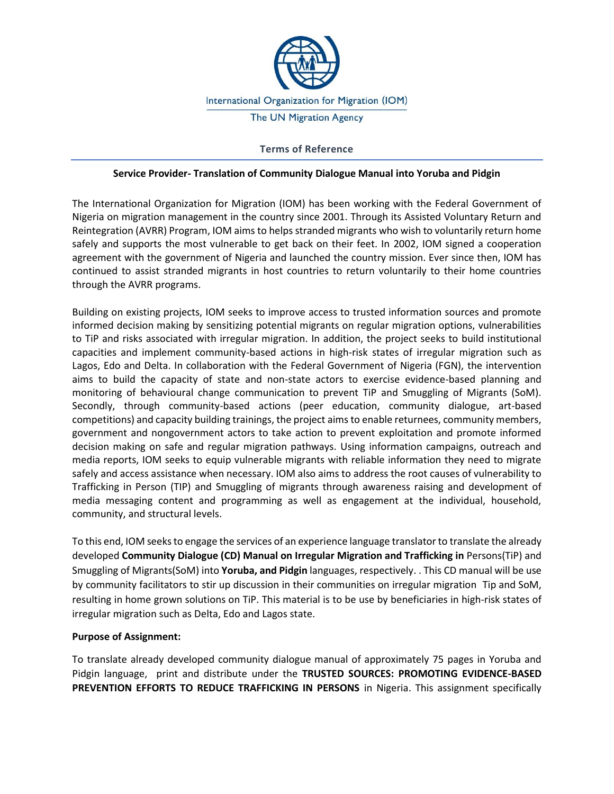

## **Terms of Reference**

#### **Service Provider- Translation of Community Dialogue Manual into Yoruba and Pidgin**

The International Organization for Migration (IOM) has been working with the Federal Government of Nigeria on migration management in the country since 2001. Through its Assisted Voluntary Return and Reintegration (AVRR) Program, IOM aims to helps stranded migrants who wish to voluntarily return home safely and supports the most vulnerable to get back on their feet. In 2002, IOM signed a cooperation agreement with the government of Nigeria and launched the country mission. Ever since then, IOM has continued to assist stranded migrants in host countries to return voluntarily to their home countries through the AVRR programs.

Building on existing projects, IOM seeks to improve access to trusted information sources and promote informed decision making by sensitizing potential migrants on regular migration options, vulnerabilities to TiP and risks associated with irregular migration. In addition, the project seeks to build institutional capacities and implement community-based actions in high-risk states of irregular migration such as Lagos, Edo and Delta. In collaboration with the Federal Government of Nigeria (FGN), the intervention aims to build the capacity of state and non-state actors to exercise evidence-based planning and monitoring of behavioural change communication to prevent TiP and Smuggling of Migrants (SoM). Secondly, through community-based actions (peer education, community dialogue, art-based competitions) and capacity building trainings, the project aims to enable returnees, community members, government and nongovernment actors to take action to prevent exploitation and promote informed decision making on safe and regular migration pathways. Using information campaigns, outreach and media reports, IOM seeks to equip vulnerable migrants with reliable information they need to migrate safely and access assistance when necessary. IOM also aims to address the root causes of vulnerability to Trafficking in Person (TIP) and Smuggling of migrants through awareness raising and development of media messaging content and programming as well as engagement at the individual, household, community, and structural levels.

To this end, IOM seeks to engage the services of an experience language translator to translate the already developed **Community Dialogue (CD) Manual on Irregular Migration and Trafficking in** Persons(TiP) and Smuggling of Migrants(SoM) into **Yoruba, and Pidgin** languages, respectively. . This CD manual will be use by community facilitators to stir up discussion in their communities on irregular migration Tip and SoM, resulting in home grown solutions on TiP. This material is to be use by beneficiaries in high-risk states of irregular migration such as Delta, Edo and Lagos state.

### **Purpose of Assignment:**

To translate already developed community dialogue manual of approximately 75 pages in Yoruba and Pidgin language, print and distribute under the **TRUSTED SOURCES: PROMOTING EVIDENCE-BASED**  PREVENTION EFFORTS TO REDUCE TRAFFICKING IN PERSONS in Nigeria. This assignment specifically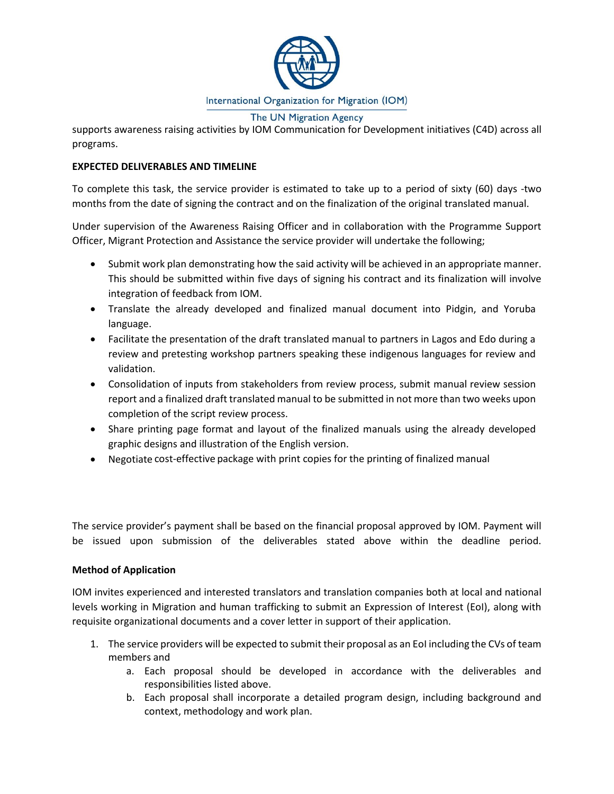

The UN Migration Agency

supports awareness raising activities by IOM Communication for Development initiatives (C4D) across all programs.

# **EXPECTED DELIVERABLES AND TIMELINE**

To complete this task, the service provider is estimated to take up to a period of sixty (60) days -two months from the date of signing the contract and on the finalization of the original translated manual.

Under supervision of the Awareness Raising Officer and in collaboration with the Programme Support Officer, Migrant Protection and Assistance the service provider will undertake the following;

- Submit work plan demonstrating how the said activity will be achieved in an appropriate manner. This should be submitted within five days of signing his contract and its finalization will involve integration of feedback from IOM.
- Translate the already developed and finalized manual document into Pidgin, and Yoruba language.
- Facilitate the presentation of the draft translated manual to partners in Lagos and Edo during a review and pretesting workshop partners speaking these indigenous languages for review and validation.
- Consolidation of inputs from stakeholders from review process, submit manual review session report and a finalized draft translated manual to be submitted in not more than two weeks upon completion of the script review process.
- Share printing page format and layout of the finalized manuals using the already developed graphic designs and illustration of the English version.
- Negotiate cost-effective package with print copies for the printing of finalized manual

The service provider's payment shall be based on the financial proposal approved by IOM. Payment will be issued upon submission of the deliverables stated above within the deadline period.

### **Method of Application**

IOM invites experienced and interested translators and translation companies both at local and national levels working in Migration and human trafficking to submit an Expression of Interest (EoI), along with requisite organizational documents and a cover letter in support of their application.

- 1. The service providers will be expected to submit their proposal as an EoI including the CVs of team members and
	- a. Each proposal should be developed in accordance with the deliverables and responsibilities listed above.
	- b. Each proposal shall incorporate a detailed program design, including background and context, methodology and work plan.